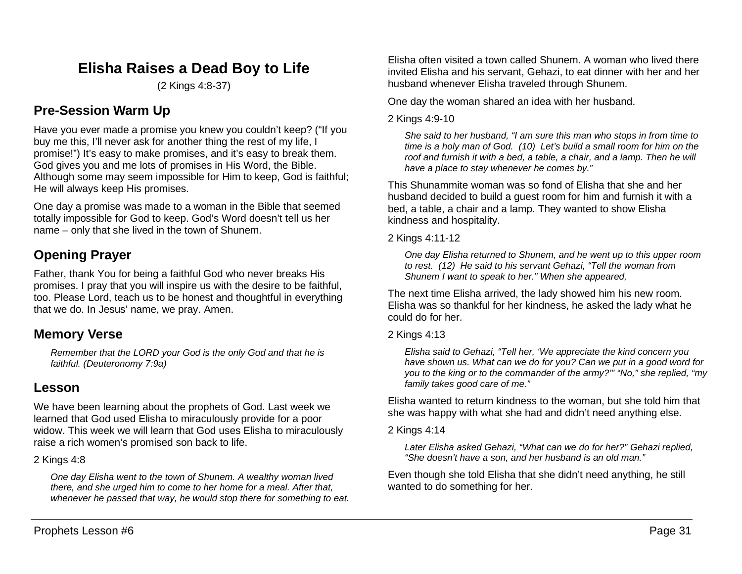# **Elisha Raises a Dead Boy to Life**

(2 Kings 4:8-37)

# **Pre-Session Warm Up**

Have you ever made a promise you knew you couldn't keep? ("If you buy me this, I'll never ask for another thing the rest of my life, I promise!") It's easy to make promises, and it's easy to break them. God gives you and me lots of promises in His Word, the Bible. Although some may seem impossible for Him to keep, God is faithful; He will always keep His promises.

One day a promise was made to a woman in the Bible that seemed totally impossible for God to keep. God's Word doesn't tell us her name – only that she lived in the town of Shunem.

# **Opening Prayer**

Father, thank You for being a faithful God who never breaks His promises. I pray that you will inspire us with the desire to be faithful, too. Please Lord, teach us to be honest and thoughtful in everything that we do. In Jesus' name, we pray. Amen.

# **Memory Verse**

*Remember that the LORD your God is the only God and that he is faithful. (Deuteronomy 7:9a)*

# **Lesson**

We have been learning about the prophets of God. Last week we learned that God used Elisha to miraculously provide for a poor widow. This week we will learn that God uses Elisha to miraculously raise a rich women's promised son back to life.

# 2 Kings 4:8

*One day Elisha went to the town of Shunem. A wealthy woman lived there, and she urged him to come to her home for a meal. After that, whenever he passed that way, he would stop there for something to eat.*

Elisha often visited a town called Shunem. A woman who lived there invited Elisha and his servant, Gehazi, to eat dinner with her and her husband whenever Elisha traveled through Shunem.

One day the woman shared an idea with her husband.

## 2 Kings 4:9-10

*She said to her husband, "I am sure this man who stops in from time to time is a holy man of God. (10) Let's build a small room for him on the roof and furnish it with a bed, a table, a chair, and a lamp. Then he will have a place to stay whenever he comes by."*

This Shunammite woman was so fond of Elisha that she and her husband decided to build a guest room for him and furnish it with a bed, a table, a chair and a lamp. They wanted to show Elisha kindness and hospitality.

### 2 Kings 4:11-12

*One day Elisha returned to Shunem, and he went up to this upper room to rest. (12) He said to his servant Gehazi, "Tell the woman from Shunem I want to speak to her." When she appeared,*

The next time Elisha arrived, the lady showed him his new room. Elisha was so thankful for her kindness, he asked the lady what he could do for her.

### 2 Kings 4:13

*Elisha said to Gehazi, "Tell her, 'We appreciate the kind concern you have shown us. What can we do for you? Can we put in a good word for you to the king or to the commander of the army?'" "No," she replied, "my family takes good care of me."*

Elisha wanted to return kindness to the woman, but she told him that she was happy with what she had and didn't need anything else.

### 2 Kings 4:14

*Later Elisha asked Gehazi, "What can we do for her?" Gehazi replied, "She doesn't have a son, and her husband is an old man."*

Even though she told Elisha that she didn't need anything, he still wanted to do something for her.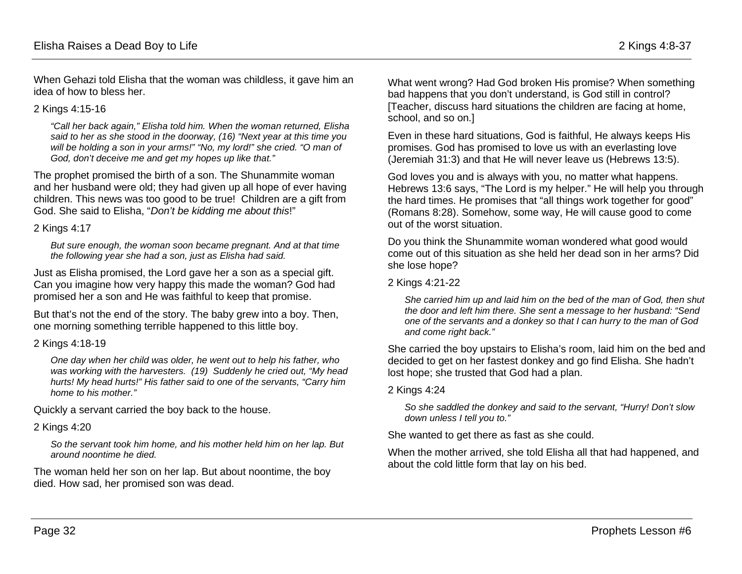When Gehazi told Elisha that the woman was childless, it gave him an idea of how to bless her.

#### 2 Kings 4:15-16

*"Call her back again," Elisha told him. When the woman returned, Elisha said to her as she stood in the doorway, (16) "Next year at this time you will be holding a son in your arms!" "No, my lord!" she cried. "O man of God, don't deceive me and get my hopes up like that."*

The prophet promised the birth of a son. The Shunammite woman and her husband were old; they had given up all hope of ever having children. This news was too good to be true! Children are a gift from God. She said to Elisha, "*Don't be kidding me about this*!"

#### 2 Kings 4:17

*But sure enough, the woman soon became pregnant. And at that time the following year she had a son, just as Elisha had said.*

Just as Elisha promised, the Lord gave her a son as a special gift. Can you imagine how very happy this made the woman? God had promised her a son and He was faithful to keep that promise.

But that's not the end of the story. The baby grew into a boy. Then, one morning something terrible happened to this little boy.

#### 2 Kings 4:18-19

*One day when her child was older, he went out to help his father, who was working with the harvesters. (19) Suddenly he cried out, "My head hurts! My head hurts!" His father said to one of the servants, "Carry him home to his mother."*

Quickly a servant carried the boy back to the house.

### 2 Kings 4:20

*So the servant took him home, and his mother held him on her lap. But around noontime he died.* 

The woman held her son on her lap. But about noontime, the boy died. How sad, her promised son was dead.

What went wrong? Had God broken His promise? When something bad happens that you don't understand, is God still in control? [Teacher, discuss hard situations the children are facing at home, school, and so on.]

Even in these hard situations, God is faithful, He always keeps His promises. God has promised to love us with an everlasting love (Jeremiah 31:3) and that He will never leave us (Hebrews 13:5).

God loves you and is always with you, no matter what happens. Hebrews 13:6 says, "The Lord is my helper." He will help you through the hard times. He promises that "all things work together for good" (Romans 8:28). Somehow, some way, He will cause good to come out of the worst situation.

Do you think the Shunammite woman wondered what good would come out of this situation as she held her dead son in her arms? Did she lose hope?

#### 2 Kings 4:21-22

*She carried him up and laid him on the bed of the man of God, then shut the door and left him there. She sent a message to her husband: "Send one of the servants and a donkey so that I can hurry to the man of God and come right back."*

She carried the boy upstairs to Elisha's room, laid him on the bed and decided to get on her fastest donkey and go find Elisha. She hadn't lost hope; she trusted that God had a plan.

#### 2 Kings 4:24

*So she saddled the donkey and said to the servant, "Hurry! Don't slow down unless I tell you to."*

She wanted to get there as fast as she could.

When the mother arrived, she told Elisha all that had happened, and about the cold little form that lay on his bed.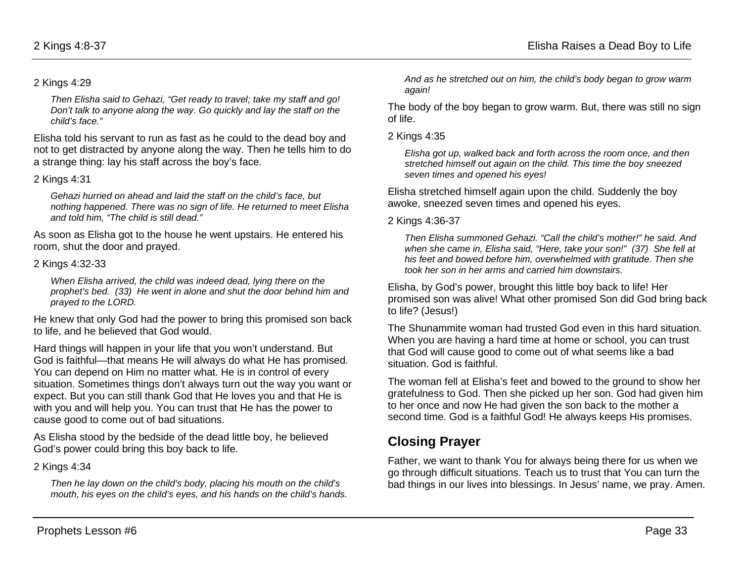#### 2 Kings 4:29

*Then Elisha said to Gehazi, "Get ready to travel; take my staff and go! Don't talk to anyone along the way. Go quickly and lay the staff on the child's face."*

Elisha told his servant to run as fast as he could to the dead boy and not to get distracted by anyone along the way. Then he tells him to do a strange thing: lay his staff across the boy's face.

#### 2 Kings 4:31

*Gehazi hurried on ahead and laid the staff on the child's face, but nothing happened. There was no sign of life. He returned to meet Elisha and told him, "The child is still dead."*

As soon as Elisha got to the house he went upstairs. He entered his room, shut the door and prayed.

#### 2 Kings 4:32-33

*When Elisha arrived, the child was indeed dead, lying there on the prophet's bed. (33) He went in alone and shut the door behind him and prayed to the LORD.*

He knew that only God had the power to bring this promised son back to life, and he believed that God would.

Hard things will happen in your life that you won't understand. But God is faithful—that means He will always do what He has promised. You can depend on Him no matter what. He is in control of every situation. Sometimes things don't always turn out the way you want or expect. But you can still thank God that He loves you and that He is with you and will help you. You can trust that He has the power to cause good to come out of bad situations.

As Elisha stood by the bedside of the dead little boy, he believed God's power could bring this boy back to life.

### 2 Kings 4:34

*Then he lay down on the child's body, placing his mouth on the child's mouth, his eyes on the child's eyes, and his hands on the child's hands.*  *And as he stretched out on him, the child's body began to grow warm again!*

The body of the boy began to grow warm. But, there was still no sign of life.

2 Kings 4:35

*Elisha got up, walked back and forth across the room once, and then stretched himself out again on the child. This time the boy sneezed seven times and opened his eyes!*

Elisha stretched himself again upon the child. Suddenly the boy awoke, sneezed seven times and opened his eyes.

2 Kings 4:36-37

*Then Elisha summoned Gehazi. "Call the child's mother!" he said. And when she came in, Elisha said, "Here, take your son!" (37) She fell at his feet and bowed before him, overwhelmed with gratitude. Then she took her son in her arms and carried him downstairs.*

Elisha, by God's power, brought this little boy back to life! Her promised son was alive! What other promised Son did God bring back to life? (Jesus!)

The Shunammite woman had trusted God even in this hard situation. When you are having a hard time at home or school, you can trust that God will cause good to come out of what seems like a bad situation. God is faithful.

The woman fell at Elisha's feet and bowed to the ground to show her gratefulness to God. Then she picked up her son. God had given him to her once and now He had given the son back to the mother a second time. God is a faithful God! He always keeps His promises.

# **Closing Prayer**

Father, we want to thank You for always being there for us when we go through difficult situations. Teach us to trust that You can turn the bad things in our lives into blessings. In Jesus' name, we pray. Amen.